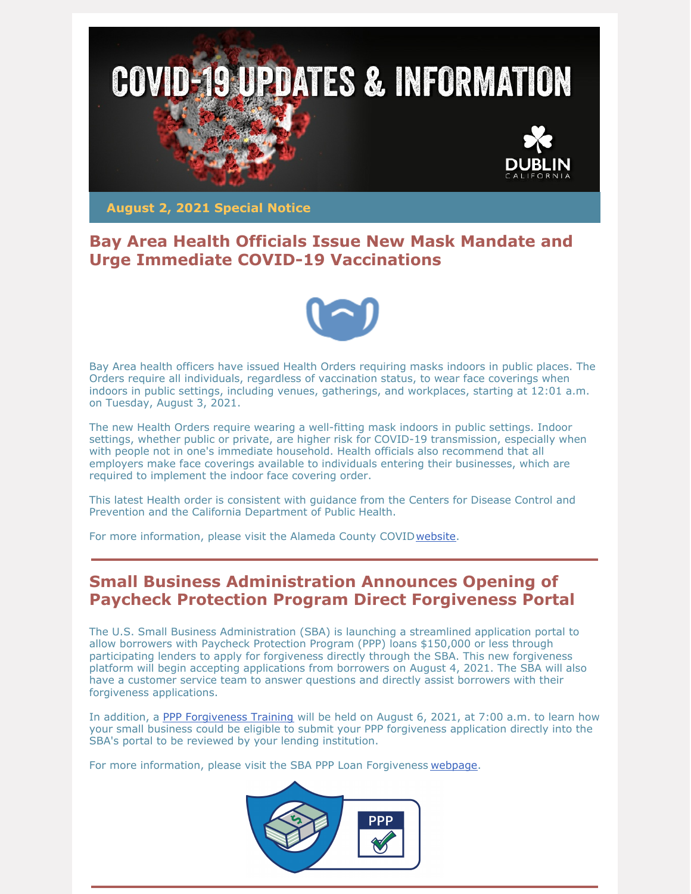

**August 2, 2021 Special Notice**

### **Bay Area Health Officials Issue New Mask Mandate and Urge Immediate COVID-19 Vaccinations**



Bay Area health officers have issued Health Orders requiring masks indoors in public places. The Orders require all individuals, regardless of vaccination status, to wear face coverings when indoors in public settings, including venues, gatherings, and workplaces, starting at 12:01 a.m. on Tuesday, August 3, 2021.

The new Health Orders require wearing a well-fitting mask indoors in public settings. Indoor settings, whether public or private, are higher risk for COVID-19 transmission, especially when with people not in one's immediate household. Health officials also recommend that all employers make face coverings available to individuals entering their businesses, which are required to implement the indoor face covering order.

This latest Health order is consistent with guidance from the Centers for Disease Control and Prevention and the California Department of Public Health.

For more information, please visit the Alameda County COVID[website](https://covid-19.acgov.org/face-masks).

## **Small Business Administration Announces Opening of Paycheck Protection Program Direct Forgiveness Portal**

The U.S. Small Business Administration (SBA) is launching a streamlined application portal to allow borrowers with Paycheck Protection Program (PPP) loans \$150,000 or less through participating lenders to apply for forgiveness directly through the SBA. This new forgiveness platform will begin accepting applications from borrowers on August 4, 2021. The SBA will also have a customer service team to answer questions and directly assist borrowers with their forgiveness applications.

In addition, a PPP [Forgiveness](https://www.eventbrite.com/e/ppp-forgiveness-training-tickets-164360620039?utm_medium=email&utm_source=govdelivery) Training will be held on August 6, 2021, at 7:00 a.m. to learn how your small business could be eligible to submit your PPP forgiveness application directly into the SBA's portal to be reviewed by your lending institution.

For more information, please visit the SBA PPP Loan Forgiveness [webpage](https://www.sba.gov/funding-programs/loans/covid-19-relief-options/paycheck-protection-program/ppp-loan-forgiveness).

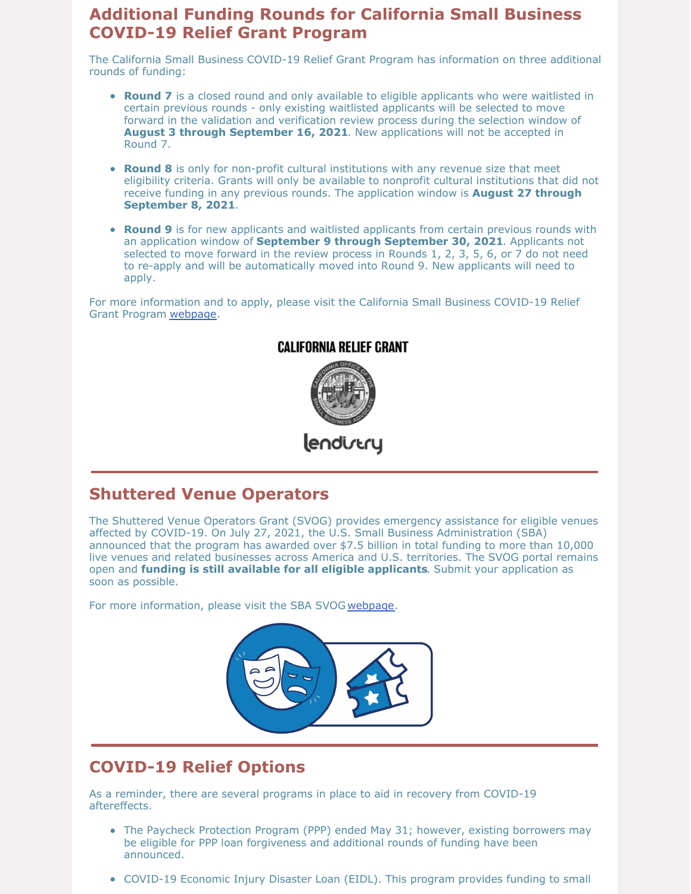### **Additional Funding Rounds for California Small Business COVID-19 Relief Grant Program**

The California Small Business COVID-19 Relief Grant Program has information on three additional rounds of funding:

- **Round 7** is a closed round and only available to eligible applicants who were waitlisted in certain previous rounds - only existing waitlisted applicants will be selected to move forward in the validation and verification review process during the selection window of **August 3 through September 16, 2021**. New applications will not be accepted in Round 7.
- **Round 8** is only for non-profit cultural institutions with any revenue size that meet eligibility criteria. Grants will only be available to nonprofit cultural institutions that did not receive funding in any previous rounds. The application window is **August 27 through September 8, 2021**.
- **Round 9** is for new applicants and waitlisted applicants from certain previous rounds with an application window of **September 9 through September 30, 2021**. Applicants not selected to move forward in the review process in Rounds 1, 2, 3, 5, 6, or 7 do not need to re-apply and will be automatically moved into Round 9. New applicants will need to apply.

For more information and to apply, please visit the California Small Business COVID-19 Relief Grant Program [webpage](https://careliefgrant.com/).



#### **CALIFORNIA RELIEF GRANT**

lendirtry

### **Shuttered Venue Operators**

The Shuttered Venue Operators Grant (SVOG) provides emergency assistance for eligible venues affected by COVID-19. On July 27, 2021, the U.S. Small Business Administration (SBA) announced that the program has awarded over \$7.5 billion in total funding to more than 10,000 live venues and related businesses across America and U.S. territories. The SVOG portal remains open and **funding is still available for all eligible applicants**. Submit your application as soon as possible.

For more information, please visit the SBA SVOG [webpage](https://www.sba.gov/funding-programs/loans/covid-19-relief-options/shuttered-venue-operators-grant?utm_medium=email&utm_source=govdelivery).



# **COVID-19 Relief Options**

As a reminder, there are several programs in place to aid in recovery from COVID-19 aftereffects.

- The Paycheck Protection Program (PPP) ended May 31; however, existing borrowers may be eligible for PPP loan forgiveness and additional rounds of funding have been announced.
- COVID-19 Economic Injury Disaster Loan (EIDL). This program provides funding to small